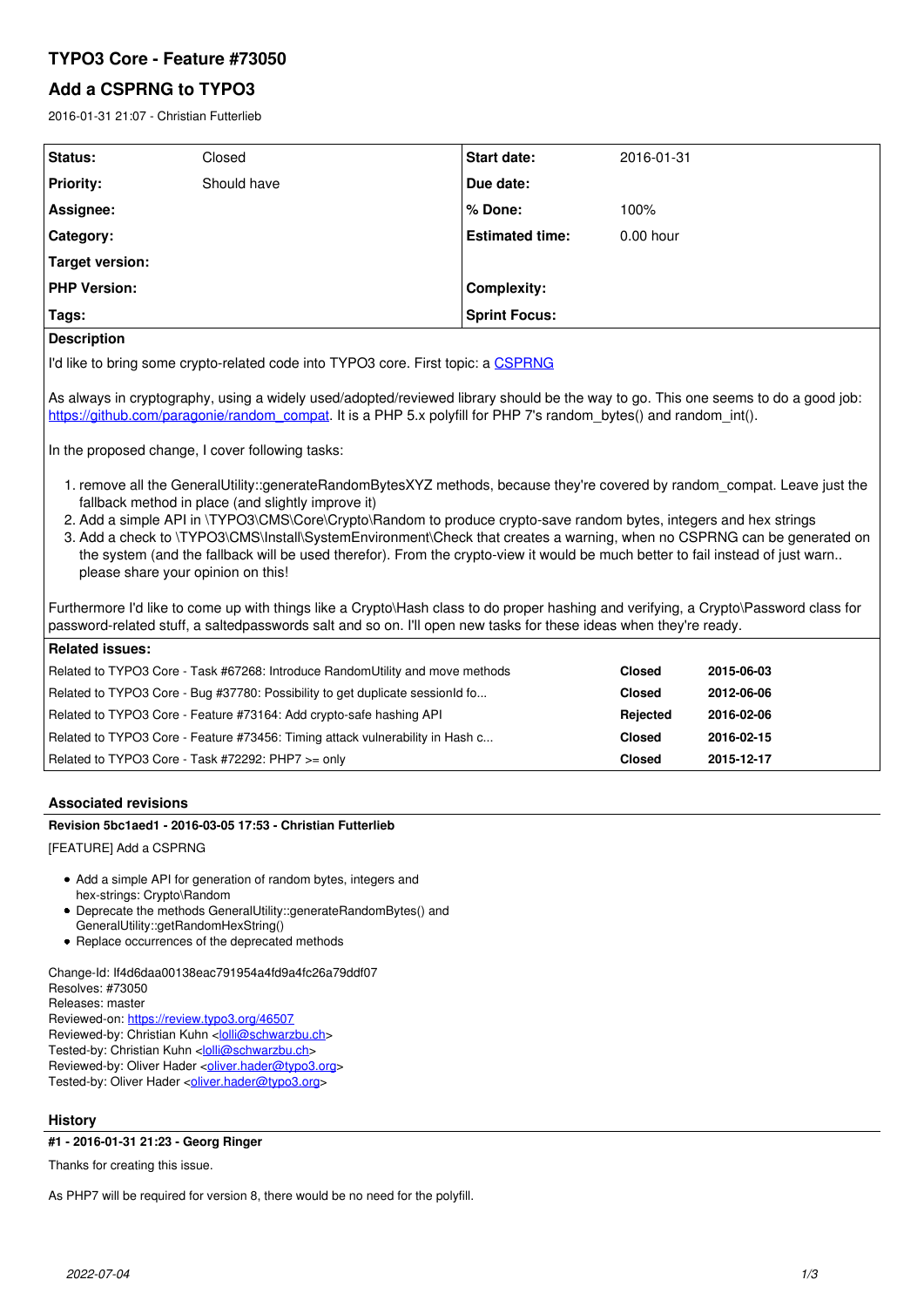# **TYPO3 Core - Feature #73050**

# **Add a CSPRNG to TYPO3**

2016-01-31 21:07 - Christian Futterlieb

| <b>Status:</b>      | Closed      | <b>Start date:</b>     | 2016-01-31  |
|---------------------|-------------|------------------------|-------------|
| <b>Priority:</b>    | Should have | Due date:              |             |
| Assignee:           |             | ∣% Done:               | 100%        |
| Category:           |             | <b>Estimated time:</b> | $0.00$ hour |
| Target version:     |             |                        |             |
| <b>PHP Version:</b> |             | <b>Complexity:</b>     |             |
| Tags:               |             | <b>Sprint Focus:</b>   |             |
| <b>Description</b>  |             |                        |             |

### **Description**

I'd like to bring some crypto-related code into TYPO3 core. First topic: a [CSPRNG](https://en.wikipedia.org/wiki/Cryptographically_secure_pseudorandom_number_generator)

As always in cryptography, using a widely used/adopted/reviewed library should be the way to go. This one seems to do a good job: [https://github.com/paragonie/random\\_compat](https://github.com/paragonie/random_compat). It is a PHP 5.x polyfill for PHP 7's random bytes() and random int().

In the proposed change, I cover following tasks:

- 1. remove all the GeneralUtility::generateRandomBytesXYZ methods, because they're covered by random\_compat. Leave just the fallback method in place (and slightly improve it)
- 2. Add a simple API in \TYPO3\CMS\Core\Crypto\Random to produce crypto-save random bytes, integers and hex strings
- 3. Add a check to \TYPO3\CMS\Install\SystemEnvironment\Check that creates a warning, when no CSPRNG can be generated on the system (and the fallback will be used therefor). From the crypto-view it would be much better to fail instead of just warn.. please share your opinion on this!

Furthermore I'd like to come up with things like a Crypto\Hash class to do proper hashing and verifying, a Crypto\Password class for password-related stuff, a saltedpasswords salt and so on. I'll open new tasks for these ideas when they're ready.

| Related issues:                                                               |               |            |
|-------------------------------------------------------------------------------|---------------|------------|
| Related to TYPO3 Core - Task #67268: Introduce RandomUtility and move methods | <b>Closed</b> | 2015-06-03 |
| Related to TYPO3 Core - Bug #37780: Possibility to get duplicate sessionId fo | <b>Closed</b> | 2012-06-06 |
| Related to TYPO3 Core - Feature #73164: Add crypto-safe hashing API           | Rejected      | 2016-02-06 |
| Related to TYPO3 Core - Feature #73456: Timing attack vulnerability in Hash c | <b>Closed</b> | 2016-02-15 |
| Related to TYPO3 Core - Task #72292: PHP7 >= only                             | <b>Closed</b> | 2015-12-17 |

# **Associated revisions**

# **Revision 5bc1aed1 - 2016-03-05 17:53 - Christian Futterlieb**

[FEATURE] Add a CSPRNG

- Add a simple API for generation of random bytes, integers and hex-strings: Crypto\Random
- Deprecate the methods GeneralUtility::generateRandomBytes() and
- GeneralUtility::getRandomHexString() • Replace occurrences of the deprecated methods
- 

Change-Id: If4d6daa00138eac791954a4fd9a4fc26a79ddf07 Resolves: #73050 Releases: master Reviewed-on:<https://review.typo3.org/46507> Reviewed-by: Christian Kuhn [<lolli@schwarzbu.ch>](mailto:lolli@schwarzbu.ch) Tested-by: Christian Kuhn <[lolli@schwarzbu.ch](mailto:lolli@schwarzbu.ch)> Reviewed-by: Oliver Hader <[oliver.hader@typo3.org>](mailto:oliver.hader@typo3.org) Tested-by: Oliver Hader < [oliver.hader@typo3.org](mailto:oliver.hader@typo3.org)>

### **History**

# **#1 - 2016-01-31 21:23 - Georg Ringer**

Thanks for creating this issue.

As PHP7 will be required for version 8, there would be no need for the polyfill.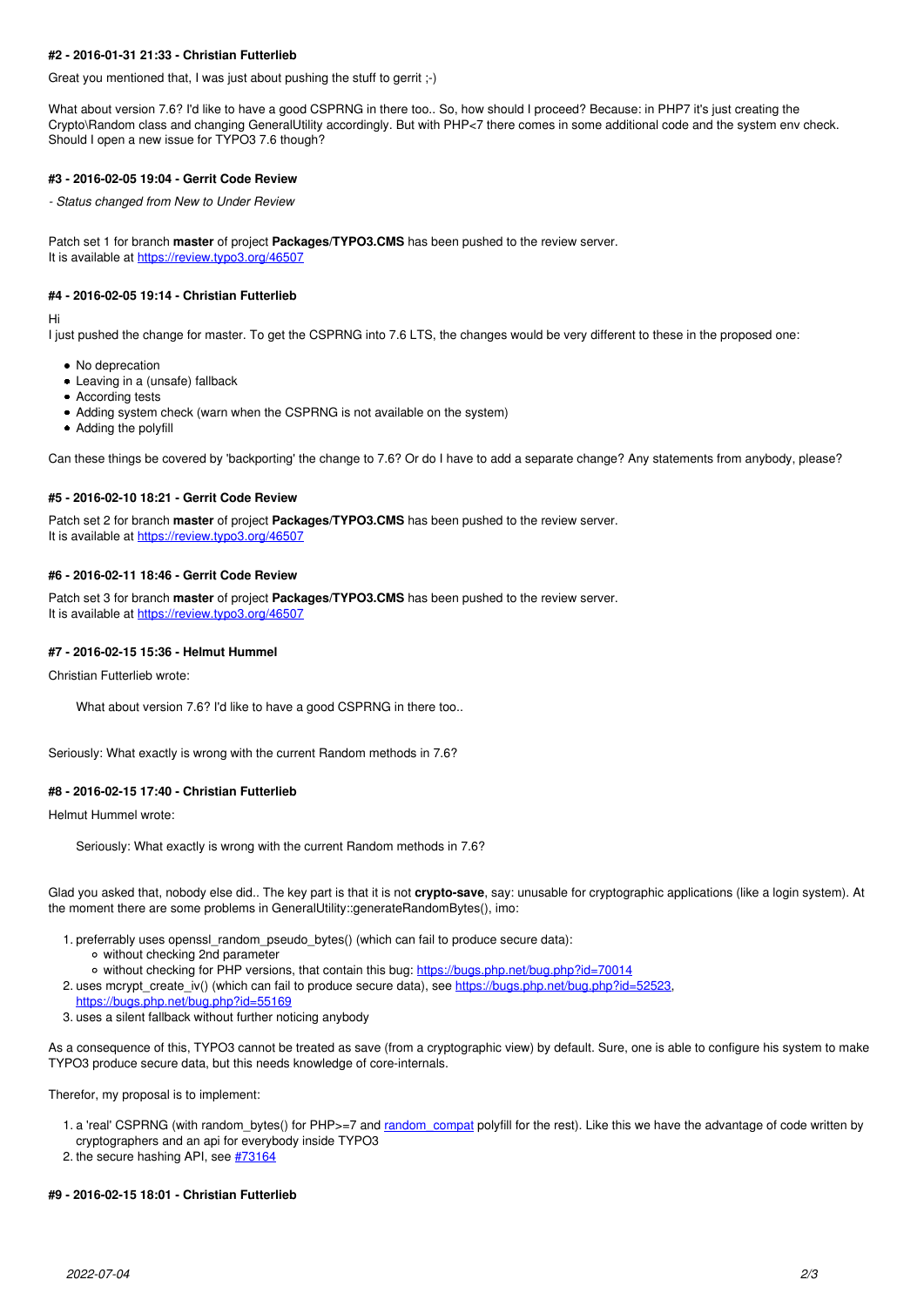# **#2 - 2016-01-31 21:33 - Christian Futterlieb**

Great you mentioned that, I was just about pushing the stuff to gerrit ;-)

What about version 7.6? I'd like to have a good CSPRNG in there too.. So, how should I proceed? Because: in PHP7 it's just creating the Crypto\Random class and changing GeneralUtility accordingly. But with PHP<7 there comes in some additional code and the system env check. Should I open a new issue for TYPO3 7.6 though?

#### **#3 - 2016-02-05 19:04 - Gerrit Code Review**

*- Status changed from New to Under Review*

Patch set 1 for branch **master** of project **Packages/TYPO3.CMS** has been pushed to the review server. It is available at <https://review.typo3.org/46507>

### **#4 - 2016-02-05 19:14 - Christian Futterlieb**

Hi

I just pushed the change for master. To get the CSPRNG into 7.6 LTS, the changes would be very different to these in the proposed one:

- No deprecation
- Leaving in a (unsafe) fallback
- According tests
- Adding system check (warn when the CSPRNG is not available on the system)
- Adding the polyfill

Can these things be covered by 'backporting' the change to 7.6? Or do I have to add a separate change? Any statements from anybody, please?

#### **#5 - 2016-02-10 18:21 - Gerrit Code Review**

Patch set 2 for branch **master** of project **Packages/TYPO3.CMS** has been pushed to the review server. It is available at <https://review.typo3.org/46507>

#### **#6 - 2016-02-11 18:46 - Gerrit Code Review**

Patch set 3 for branch **master** of project **Packages/TYPO3.CMS** has been pushed to the review server. It is available at <https://review.typo3.org/46507>

### **#7 - 2016-02-15 15:36 - Helmut Hummel**

Christian Futterlieb wrote:

What about version 7.6? I'd like to have a good CSPRNG in there too..

Seriously: What exactly is wrong with the current Random methods in 7.6?

#### **#8 - 2016-02-15 17:40 - Christian Futterlieb**

Helmut Hummel wrote:

Seriously: What exactly is wrong with the current Random methods in 7.6?

Glad you asked that, nobody else did.. The key part is that it is not **crypto-save**, say: unusable for cryptographic applications (like a login system). At the moment there are some problems in GeneralUtility::generateRandomBytes(), imo:

- 1. preferrably uses openssl\_random\_pseudo\_bytes() (which can fail to produce secure data):
	- without checking 2nd parameter
	- o without checking for PHP versions, that contain this bug: <https://bugs.php.net/bug.php?id=70014>
- 2. uses mcrypt\_create\_iv() (which can fail to produce secure data), see <https://bugs.php.net/bug.php?id=52523>,
- <https://bugs.php.net/bug.php?id=55169>
- 3. uses a silent fallback without further noticing anybody

As a consequence of this, TYPO3 cannot be treated as save (from a cryptographic view) by default. Sure, one is able to configure his system to make TYPO3 produce secure data, but this needs knowledge of core-internals.

Therefor, my proposal is to implement:

- 1. a 'real' CSPRNG (with random\_bytes() for PHP>=7 and [random\\_compat](https://github.com/paragonie/random_compat) polyfill for the rest). Like this we have the advantage of code written by cryptographers and an api for everybody inside TYPO3
- 2. the secure hashing API, see [#73164](https://forge.typo3.org/issues/73164)

# **#9 - 2016-02-15 18:01 - Christian Futterlieb**